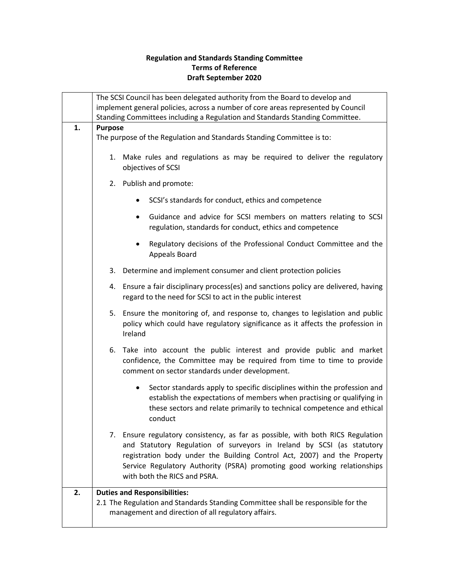## **Regulation and Standards Standing Committee Terms of Reference Draft September 2020**

|    | The SCSI Council has been delegated authority from the Board to develop and<br>implement general policies, across a number of core areas represented by Council                                                                                                                                                                                   |
|----|---------------------------------------------------------------------------------------------------------------------------------------------------------------------------------------------------------------------------------------------------------------------------------------------------------------------------------------------------|
|    | Standing Committees including a Regulation and Standards Standing Committee.                                                                                                                                                                                                                                                                      |
| 1. | <b>Purpose</b><br>The purpose of the Regulation and Standards Standing Committee is to:                                                                                                                                                                                                                                                           |
|    | 1. Make rules and regulations as may be required to deliver the regulatory<br>objectives of SCSI                                                                                                                                                                                                                                                  |
|    | 2. Publish and promote:                                                                                                                                                                                                                                                                                                                           |
|    | SCSI's standards for conduct, ethics and competence                                                                                                                                                                                                                                                                                               |
|    | Guidance and advice for SCSI members on matters relating to SCSI<br>$\bullet$<br>regulation, standards for conduct, ethics and competence                                                                                                                                                                                                         |
|    | Regulatory decisions of the Professional Conduct Committee and the<br>Appeals Board                                                                                                                                                                                                                                                               |
|    | Determine and implement consumer and client protection policies<br>3.                                                                                                                                                                                                                                                                             |
|    | 4. Ensure a fair disciplinary process(es) and sanctions policy are delivered, having<br>regard to the need for SCSI to act in the public interest                                                                                                                                                                                                 |
|    | 5. Ensure the monitoring of, and response to, changes to legislation and public<br>policy which could have regulatory significance as it affects the profession in<br>Ireland                                                                                                                                                                     |
|    | 6. Take into account the public interest and provide public and market<br>confidence, the Committee may be required from time to time to provide<br>comment on sector standards under development.                                                                                                                                                |
|    | Sector standards apply to specific disciplines within the profession and<br>٠<br>establish the expectations of members when practising or qualifying in<br>these sectors and relate primarily to technical competence and ethical<br>conduct                                                                                                      |
|    | 7. Ensure regulatory consistency, as far as possible, with both RICS Regulation<br>and Statutory Regulation of surveyors in Ireland by SCSI (as statutory<br>registration body under the Building Control Act, 2007) and the Property<br>Service Regulatory Authority (PSRA) promoting good working relationships<br>with both the RICS and PSRA. |
| 2. | <b>Duties and Responsibilities:</b><br>2.1 The Regulation and Standards Standing Committee shall be responsible for the<br>management and direction of all regulatory affairs.                                                                                                                                                                    |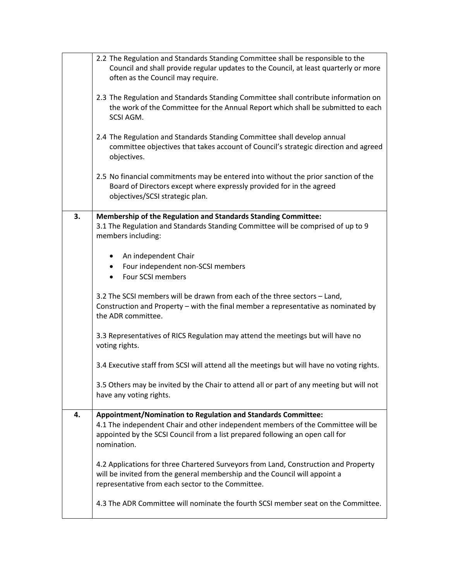|    | 2.2 The Regulation and Standards Standing Committee shall be responsible to the                                                                                                                                                                   |
|----|---------------------------------------------------------------------------------------------------------------------------------------------------------------------------------------------------------------------------------------------------|
|    | Council and shall provide regular updates to the Council, at least quarterly or more                                                                                                                                                              |
|    | often as the Council may require.                                                                                                                                                                                                                 |
|    | 2.3 The Regulation and Standards Standing Committee shall contribute information on<br>the work of the Committee for the Annual Report which shall be submitted to each<br>SCSI AGM.                                                              |
|    | 2.4 The Regulation and Standards Standing Committee shall develop annual<br>committee objectives that takes account of Council's strategic direction and agreed<br>objectives.                                                                    |
|    | 2.5 No financial commitments may be entered into without the prior sanction of the<br>Board of Directors except where expressly provided for in the agreed<br>objectives/SCSI strategic plan.                                                     |
| 3. | Membership of the Regulation and Standards Standing Committee:<br>3.1 The Regulation and Standards Standing Committee will be comprised of up to 9<br>members including:                                                                          |
|    | An independent Chair<br>$\bullet$                                                                                                                                                                                                                 |
|    | • Four independent non-SCSI members                                                                                                                                                                                                               |
|    | • Four SCSI members                                                                                                                                                                                                                               |
|    |                                                                                                                                                                                                                                                   |
|    | 3.2 The SCSI members will be drawn from each of the three sectors - Land,<br>Construction and Property - with the final member a representative as nominated by<br>the ADR committee.                                                             |
|    | 3.3 Representatives of RICS Regulation may attend the meetings but will have no<br>voting rights.                                                                                                                                                 |
|    | 3.4 Executive staff from SCSI will attend all the meetings but will have no voting rights.                                                                                                                                                        |
|    | 3.5 Others may be invited by the Chair to attend all or part of any meeting but will not<br>have any voting rights.                                                                                                                               |
| 4. | Appointment/Nomination to Regulation and Standards Committee:<br>4.1 The independent Chair and other independent members of the Committee will be<br>appointed by the SCSI Council from a list prepared following an open call for<br>nomination. |
|    | 4.2 Applications for three Chartered Surveyors from Land, Construction and Property<br>will be invited from the general membership and the Council will appoint a<br>representative from each sector to the Committee.                            |
|    | 4.3 The ADR Committee will nominate the fourth SCSI member seat on the Committee.                                                                                                                                                                 |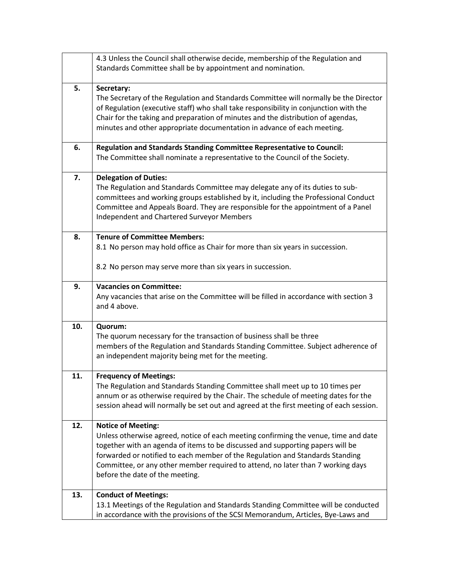|     | 4.3 Unless the Council shall otherwise decide, membership of the Regulation and<br>Standards Committee shall be by appointment and nomination.                                                                                                                                                                                                                                                            |
|-----|-----------------------------------------------------------------------------------------------------------------------------------------------------------------------------------------------------------------------------------------------------------------------------------------------------------------------------------------------------------------------------------------------------------|
| 5.  | Secretary:<br>The Secretary of the Regulation and Standards Committee will normally be the Director<br>of Regulation (executive staff) who shall take responsibility in conjunction with the<br>Chair for the taking and preparation of minutes and the distribution of agendas,<br>minutes and other appropriate documentation in advance of each meeting.                                               |
| 6.  | Regulation and Standards Standing Committee Representative to Council:<br>The Committee shall nominate a representative to the Council of the Society.                                                                                                                                                                                                                                                    |
| 7.  | <b>Delegation of Duties:</b><br>The Regulation and Standards Committee may delegate any of its duties to sub-<br>committees and working groups established by it, including the Professional Conduct<br>Committee and Appeals Board. They are responsible for the appointment of a Panel<br>Independent and Chartered Surveyor Members                                                                    |
| 8.  | <b>Tenure of Committee Members:</b><br>8.1 No person may hold office as Chair for more than six years in succession.                                                                                                                                                                                                                                                                                      |
|     | 8.2 No person may serve more than six years in succession.                                                                                                                                                                                                                                                                                                                                                |
| 9.  | <b>Vacancies on Committee:</b><br>Any vacancies that arise on the Committee will be filled in accordance with section 3<br>and 4 above.                                                                                                                                                                                                                                                                   |
| 10. | Quorum:<br>The quorum necessary for the transaction of business shall be three<br>members of the Regulation and Standards Standing Committee. Subject adherence of<br>an independent majority being met for the meeting.                                                                                                                                                                                  |
| 11. | <b>Frequency of Meetings:</b><br>The Regulation and Standards Standing Committee shall meet up to 10 times per<br>annum or as otherwise required by the Chair. The schedule of meeting dates for the<br>session ahead will normally be set out and agreed at the first meeting of each session.                                                                                                           |
| 12. | <b>Notice of Meeting:</b><br>Unless otherwise agreed, notice of each meeting confirming the venue, time and date<br>together with an agenda of items to be discussed and supporting papers will be<br>forwarded or notified to each member of the Regulation and Standards Standing<br>Committee, or any other member required to attend, no later than 7 working days<br>before the date of the meeting. |
| 13. | <b>Conduct of Meetings:</b><br>13.1 Meetings of the Regulation and Standards Standing Committee will be conducted<br>in accordance with the provisions of the SCSI Memorandum, Articles, Bye-Laws and                                                                                                                                                                                                     |